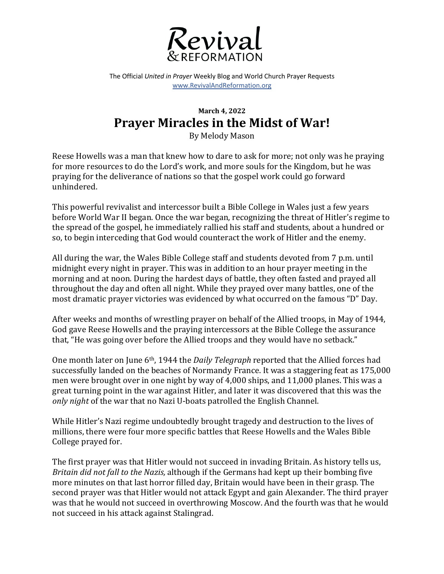

The Official *United in Prayer* Weekly Blog and World Church Prayer Requests www.RevivalAndReformation.org

## **March 4, 2022 Prayer Miracles in the Midst of War!**

By Melody Mason

Reese Howells was a man that knew how to dare to ask for more; not only was he praying for more resources to do the Lord's work, and more souls for the Kingdom, but he was praying for the deliverance of nations so that the gospel work could go forward unhindered. 

This powerful revivalist and intercessor built a Bible College in Wales just a few years before World War II began. Once the war began, recognizing the threat of Hitler's regime to the spread of the gospel, he immediately rallied his staff and students, about a hundred or so, to begin interceding that God would counteract the work of Hitler and the enemy.

All during the war, the Wales Bible College staff and students devoted from 7 p.m. until midnight every night in prayer. This was in addition to an hour prayer meeting in the morning and at noon. During the hardest days of battle, they often fasted and prayed all throughout the day and often all night. While they prayed over many battles, one of the most dramatic prayer victories was evidenced by what occurred on the famous "D" Day.

After weeks and months of wrestling prayer on behalf of the Allied troops, in May of 1944, God gave Reese Howells and the praying intercessors at the Bible College the assurance that, "He was going over before the Allied troops and they would have no setback."

One month later on June 6<sup>th</sup>, 1944 the *Daily Telegraph* reported that the Allied forces had successfully landed on the beaches of Normandy France. It was a staggering feat as 175,000 men were brought over in one night by way of  $4,000$  ships, and  $11,000$  planes. This was a great turning point in the war against Hitler, and later it was discovered that this was the *only night* of the war that no Nazi U-boats patrolled the English Channel.

While Hitler's Nazi regime undoubtedly brought tragedy and destruction to the lives of millions, there were four more specific battles that Reese Howells and the Wales Bible College prayed for.

The first prayer was that Hitler would not succeed in invading Britain. As history tells us, *Britain did not fall to the Nazis,* although if the Germans had kept up their bombing five more minutes on that last horror filled day, Britain would have been in their grasp. The second prayer was that Hitler would not attack Egypt and gain Alexander. The third prayer was that he would not succeed in overthrowing Moscow. And the fourth was that he would not succeed in his attack against Stalingrad.